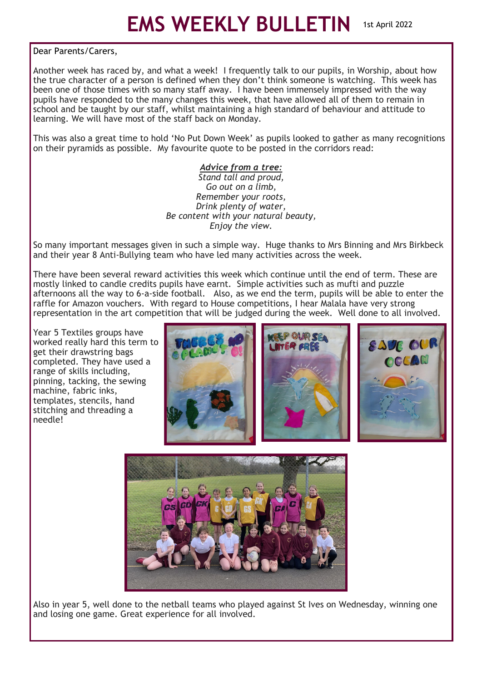Dear Parents/Carers,

Another week has raced by, and what a week! I frequently talk to our pupils, in Worship, about how the true character of a person is defined when they don't think someone is watching. This week has been one of those times with so many staff away. I have been immensely impressed with the way pupils have responded to the many changes this week, that have allowed all of them to remain in school and be taught by our staff, whilst maintaining a high standard of behaviour and attitude to learning. We will have most of the staff back on Monday.

This was also a great time to hold 'No Put Down Week' as pupils looked to gather as many recognitions on their pyramids as possible. My favourite quote to be posted in the corridors read:

## *Advice from a tree:*

*Stand tall and proud, Go out on a limb, Remember your roots, Drink plenty of water, Be content with your natural beauty, Enjoy the view.*

So many important messages given in such a simple way. Huge thanks to Mrs Binning and Mrs Birkbeck and their year 8 Anti-Bullying team who have led many activities across the week.

There have been several reward activities this week which continue until the end of term. These are mostly linked to candle credits pupils have earnt. Simple activities such as mufti and puzzle afternoons all the way to 6-a-side football. Also, as we end the term, pupils will be able to enter the raffle for Amazon vouchers. With regard to House competitions, I hear Malala have very strong representation in the art competition that will be judged during the week. Well done to all involved.

Year 5 Textiles groups have worked really hard this term to get their drawstring bags completed. They have used a range of skills including, pinning, tacking, the sewing machine, fabric inks, templates, stencils, hand stitching and threading a needle!





Also in year 5, well done to the netball teams who played against St Ives on Wednesday, winning one and losing one game. Great experience for all involved.